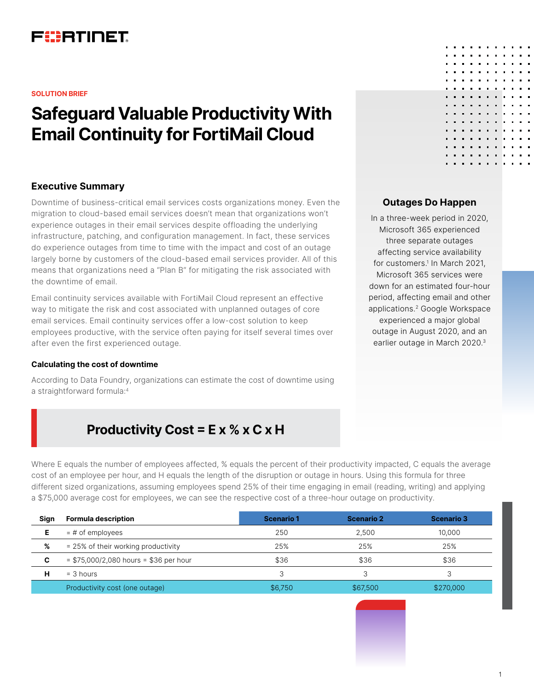

#### **SOLUTION BRIEF**

# **Safeguard Valuable Productivity With Email Continuity for FortiMail Cloud**

#### **Executive Summary**

Downtime of business-critical email services costs organizations money. Even the migration to cloud-based email services doesn't mean that organizations won't experience outages in their email services despite offloading the underlying infrastructure, patching, and configuration management. In fact, these services do experience outages from time to time with the impact and cost of an outage largely borne by customers of the cloud-based email services provider. All of this means that organizations need a "Plan B" for mitigating the risk associated with the downtime of email.

Email continuity services available with FortiMail Cloud represent an effective way to mitigate the risk and cost associated with unplanned outages of core email services. Email continuity services offer a low-cost solution to keep employees productive, with the service often paying for itself several times over after even the first experienced outage.

#### **Calculating the cost of downtime**

According to Data Foundry, organizations can estimate the cost of downtime using a straightforward formula:4

# **Productivity Cost = E x % x C x H**

Where E equals the number of employees affected, % equals the percent of their productivity impacted, C equals the average cost of an employee per hour, and H equals the length of the disruption or outage in hours. Using this formula for three different sized organizations, assuming employees spend 25% of their time engaging in email (reading, writing) and applying a \$75,000 average cost for employees, we can see the respective cost of a three-hour outage on productivity.

| Sign | <b>Formula description</b>              | Scenario 1 | <b>Scenario 2</b> | <b>Scenario 3</b> |
|------|-----------------------------------------|------------|-------------------|-------------------|
| Е    | $=$ # of employees                      | 250        | 2.500             | 10.000            |
| %    | = 25% of their working productivity     | 25%        | 25%               | 25%               |
| C    | $= $75,000/2,080$ hours = \$36 per hour | \$36       | \$36              | \$36              |
| н    | $=$ 3 hours                             |            |                   |                   |
|      | Productivity cost (one outage)          | \$6,750    | \$67,500          | \$270,000         |

#### **Outages Do Happen**

In a three-week period in 2020, Microsoft 365 experienced three separate outages affecting service availability for customers.1 In March 2021, Microsoft 365 services were down for an estimated four-hour period, affecting email and other applications.2 Google Workspace experienced a major global outage in August 2020, and an earlier outage in March 2020.3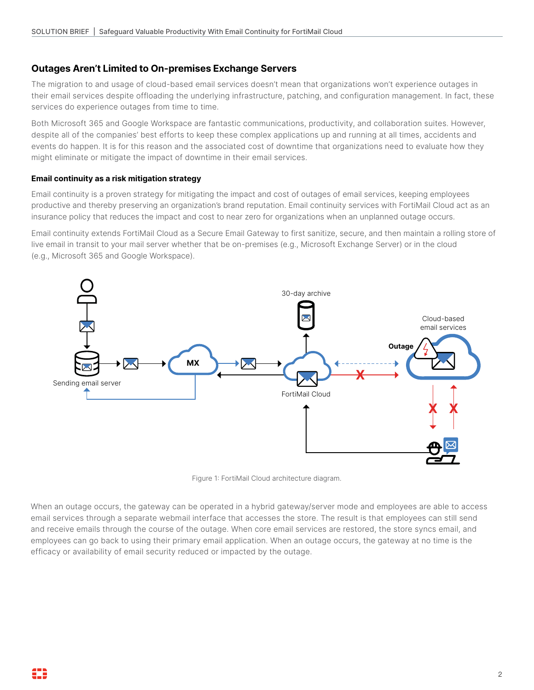## **Outages Aren't Limited to On-premises Exchange Servers**

The migration to and usage of cloud-based email services doesn't mean that organizations won't experience outages in their email services despite offloading the underlying infrastructure, patching, and configuration management. In fact, these services do experience outages from time to time.

Both Microsoft 365 and Google Workspace are fantastic communications, productivity, and collaboration suites. However, despite all of the companies' best efforts to keep these complex applications up and running at all times, accidents and events do happen. It is for this reason and the associated cost of downtime that organizations need to evaluate how they might eliminate or mitigate the impact of downtime in their email services.

#### **Email continuity as a risk mitigation strategy**

Email continuity is a proven strategy for mitigating the impact and cost of outages of email services, keeping employees productive and thereby preserving an organization's brand reputation. Email continuity services with FortiMail Cloud act as an insurance policy that reduces the impact and cost to near zero for organizations when an unplanned outage occurs.

Email continuity extends FortiMail Cloud as a Secure Email Gateway to first sanitize, secure, and then maintain a rolling store of live email in transit to your mail server whether that be on-premises (e.g., Microsoft Exchange Server) or in the cloud (e.g., Microsoft 365 and Google Workspace).



Figure 1: FortiMail Cloud architecture diagram.

When an outage occurs, the gateway can be operated in a hybrid gateway/server mode and employees are able to access email services through a separate webmail interface that accesses the store. The result is that employees can still send and receive emails through the course of the outage. When core email services are restored, the store syncs email, and employees can go back to using their primary email application. When an outage occurs, the gateway at no time is the efficacy or availability of email security reduced or impacted by the outage.